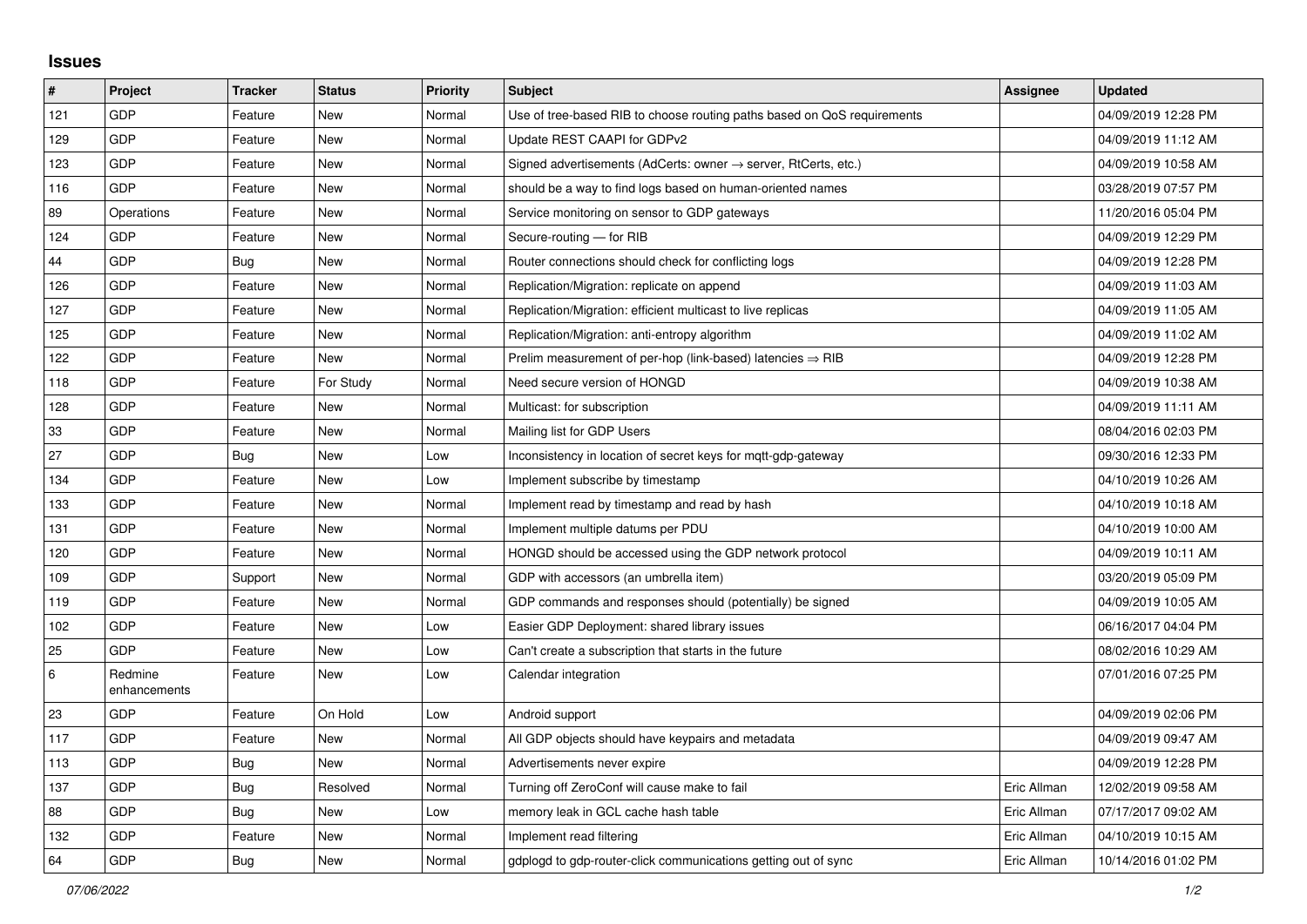## **Issues**

| #   | Project                 | <b>Tracker</b> | <b>Status</b> | <b>Priority</b> | <b>Subject</b>                                                             | Assignee    | <b>Updated</b>      |
|-----|-------------------------|----------------|---------------|-----------------|----------------------------------------------------------------------------|-------------|---------------------|
| 121 | <b>GDP</b>              | Feature        | <b>New</b>    | Normal          | Use of tree-based RIB to choose routing paths based on QoS requirements    |             | 04/09/2019 12:28 PM |
| 129 | GDP                     | Feature        | <b>New</b>    | Normal          | Update REST CAAPI for GDPv2                                                |             | 04/09/2019 11:12 AM |
| 123 | GDP                     | Feature        | New           | Normal          | Signed advertisements (AdCerts: owner $\rightarrow$ server, RtCerts, etc.) |             | 04/09/2019 10:58 AM |
| 116 | GDP                     | Feature        | New           | Normal          | should be a way to find logs based on human-oriented names                 |             | 03/28/2019 07:57 PM |
| 89  | Operations              | Feature        | New           | Normal          | Service monitoring on sensor to GDP gateways                               |             | 11/20/2016 05:04 PM |
| 124 | GDP                     | Feature        | New           | Normal          | Secure-routing - for RIB                                                   |             | 04/09/2019 12:29 PM |
| 44  | GDP                     | <b>Bug</b>     | New           | Normal          | Router connections should check for conflicting logs                       |             | 04/09/2019 12:28 PM |
| 126 | GDP                     | Feature        | New           | Normal          | Replication/Migration: replicate on append                                 |             | 04/09/2019 11:03 AM |
| 127 | GDP                     | Feature        | New           | Normal          | Replication/Migration: efficient multicast to live replicas                |             | 04/09/2019 11:05 AM |
| 125 | GDP                     | Feature        | <b>New</b>    | Normal          | Replication/Migration: anti-entropy algorithm                              |             | 04/09/2019 11:02 AM |
| 122 | GDP                     | Feature        | <b>New</b>    | Normal          | Prelim measurement of per-hop (link-based) latencies $\Rightarrow$ RIB     |             | 04/09/2019 12:28 PM |
| 118 | GDP                     | Feature        | For Study     | Normal          | Need secure version of HONGD                                               |             | 04/09/2019 10:38 AM |
| 128 | GDP                     | Feature        | <b>New</b>    | Normal          | Multicast: for subscription                                                |             | 04/09/2019 11:11 AM |
| 33  | GDP                     | Feature        | <b>New</b>    | Normal          | Mailing list for GDP Users                                                 |             | 08/04/2016 02:03 PM |
| 27  | GDP                     | Bug            | New           | Low             | Inconsistency in location of secret keys for mgtt-gdp-gateway              |             | 09/30/2016 12:33 PM |
| 134 | GDP                     | Feature        | <b>New</b>    | Low             | Implement subscribe by timestamp                                           |             | 04/10/2019 10:26 AM |
| 133 | GDP                     | Feature        | New           | Normal          | Implement read by timestamp and read by hash                               |             | 04/10/2019 10:18 AM |
| 131 | GDP                     | Feature        | New           | Normal          | Implement multiple datums per PDU                                          |             | 04/10/2019 10:00 AM |
| 120 | GDP                     | Feature        | New           | Normal          | HONGD should be accessed using the GDP network protocol                    |             | 04/09/2019 10:11 AM |
| 109 | GDP                     | Support        | New           | Normal          | GDP with accessors (an umbrella item)                                      |             | 03/20/2019 05:09 PM |
| 119 | GDP                     | Feature        | <b>New</b>    | Normal          | GDP commands and responses should (potentially) be signed                  |             | 04/09/2019 10:05 AM |
| 102 | GDP                     | Feature        | New           | Low             | Easier GDP Deployment: shared library issues                               |             | 06/16/2017 04:04 PM |
| 25  | GDP                     | Feature        | New           | Low             | Can't create a subscription that starts in the future                      |             | 08/02/2016 10:29 AM |
| 6   | Redmine<br>enhancements | Feature        | New           | Low             | Calendar integration                                                       |             | 07/01/2016 07:25 PM |
| 23  | <b>GDP</b>              | Feature        | On Hold       | Low             | Android support                                                            |             | 04/09/2019 02:06 PM |
| 117 | GDP                     | Feature        | New           | Normal          | All GDP objects should have keypairs and metadata                          |             | 04/09/2019 09:47 AM |
| 113 | GDP                     | Bug            | New           | Normal          | Advertisements never expire                                                |             | 04/09/2019 12:28 PM |
| 137 | GDP                     | <b>Bug</b>     | Resolved      | Normal          | Turning off ZeroConf will cause make to fail                               | Eric Allman | 12/02/2019 09:58 AM |
| 88  | GDP                     | <b>Bug</b>     | <b>New</b>    | Low             | memory leak in GCL cache hash table                                        | Eric Allman | 07/17/2017 09:02 AM |
| 132 | GDP                     | Feature        | <b>New</b>    | Normal          | Implement read filtering                                                   | Eric Allman | 04/10/2019 10:15 AM |
| 64  | GDP                     | <b>Bug</b>     | <b>New</b>    | Normal          | gdplogd to gdp-router-click communications getting out of sync             | Eric Allman | 10/14/2016 01:02 PM |